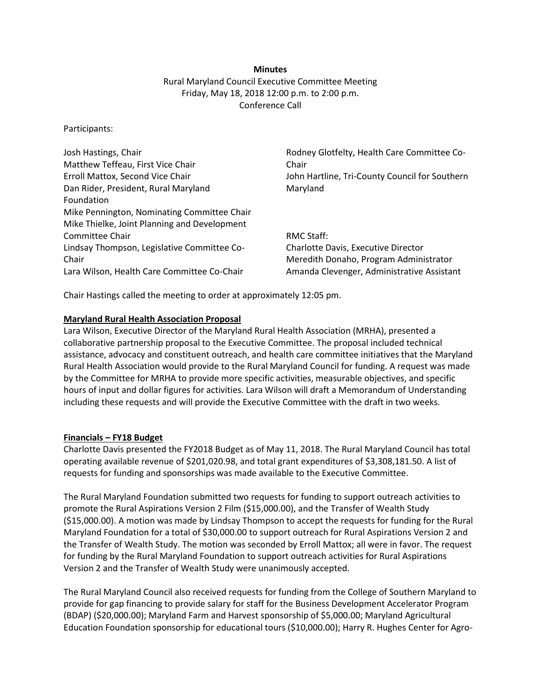### **Minutes**

Rural Maryland Council Executive Committee Meeting Friday, May 18, 2018 12:00 p.m. to 2:00 p.m. Conference Call

Participants:

| Rodney Glotfelty, Health Care Committee Co-    |
|------------------------------------------------|
| Chair                                          |
| John Hartline, Tri-County Council for Southern |
| Maryland                                       |
|                                                |
|                                                |
|                                                |
| RMC Staff:                                     |
| Charlotte Davis, Executive Director            |
| Meredith Donaho, Program Administrator         |
| Amanda Clevenger, Administrative Assistant     |
|                                                |

Chair Hastings called the meeting to order at approximately 12:05 pm.

## **Maryland Rural Health Association Proposal**

Lara Wilson, Executive Director of the Maryland Rural Health Association (MRHA), presented a collaborative partnership proposal to the Executive Committee. The proposal included technical assistance, advocacy and constituent outreach, and health care committee initiatives that the Maryland Rural Health Association would provide to the Rural Maryland Council for funding. A request was made by the Committee for MRHA to provide more specific activities, measurable objectives, and specific hours of input and dollar figures for activities. Lara Wilson will draft a Memorandum of Understanding including these requests and will provide the Executive Committee with the draft in two weeks.

### **Financials – FY18 Budget**

Charlotte Davis presented the FY2018 Budget as of May 11, 2018. The Rural Maryland Council has total operating available revenue of \$201,020.98, and total grant expenditures of \$3,308,181.50. A list of requests for funding and sponsorships was made available to the Executive Committee.

The Rural Maryland Foundation submitted two requests for funding to support outreach activities to promote the Rural Aspirations Version 2 Film (\$15,000.00), and the Transfer of Wealth Study (\$15,000.00). A motion was made by Lindsay Thompson to accept the requests for funding for the Rural Maryland Foundation for a total of \$30,000.00 to support outreach for Rural Aspirations Version 2 and the Transfer of Wealth Study. The motion was seconded by Erroll Mattox; all were in favor. The request for funding by the Rural Maryland Foundation to support outreach activities for Rural Aspirations Version 2 and the Transfer of Wealth Study were unanimously accepted.

The Rural Maryland Council also received requests for funding from the College of Southern Maryland to provide for gap financing to provide salary for staff for the Business Development Accelerator Program (BDAP) (\$20,000.00); Maryland Farm and Harvest sponsorship of \$5,000.00; Maryland Agricultural Education Foundation sponsorship for educational tours (\$10,000.00); Harry R. Hughes Center for Agro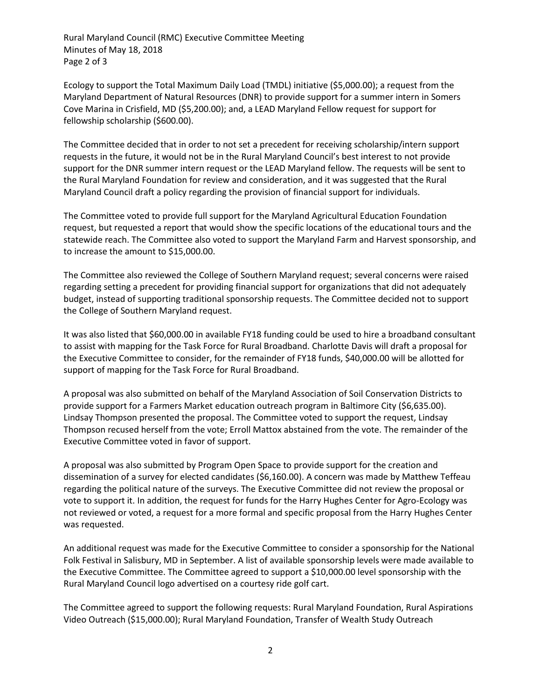Rural Maryland Council (RMC) Executive Committee Meeting Minutes of May 18, 2018 Page 2 of 3

Ecology to support the Total Maximum Daily Load (TMDL) initiative (\$5,000.00); a request from the Maryland Department of Natural Resources (DNR) to provide support for a summer intern in Somers Cove Marina in Crisfield, MD (\$5,200.00); and, a LEAD Maryland Fellow request for support for fellowship scholarship (\$600.00).

The Committee decided that in order to not set a precedent for receiving scholarship/intern support requests in the future, it would not be in the Rural Maryland Council's best interest to not provide support for the DNR summer intern request or the LEAD Maryland fellow. The requests will be sent to the Rural Maryland Foundation for review and consideration, and it was suggested that the Rural Maryland Council draft a policy regarding the provision of financial support for individuals.

The Committee voted to provide full support for the Maryland Agricultural Education Foundation request, but requested a report that would show the specific locations of the educational tours and the statewide reach. The Committee also voted to support the Maryland Farm and Harvest sponsorship, and to increase the amount to \$15,000.00.

The Committee also reviewed the College of Southern Maryland request; several concerns were raised regarding setting a precedent for providing financial support for organizations that did not adequately budget, instead of supporting traditional sponsorship requests. The Committee decided not to support the College of Southern Maryland request.

It was also listed that \$60,000.00 in available FY18 funding could be used to hire a broadband consultant to assist with mapping for the Task Force for Rural Broadband. Charlotte Davis will draft a proposal for the Executive Committee to consider, for the remainder of FY18 funds, \$40,000.00 will be allotted for support of mapping for the Task Force for Rural Broadband.

A proposal was also submitted on behalf of the Maryland Association of Soil Conservation Districts to provide support for a Farmers Market education outreach program in Baltimore City (\$6,635.00). Lindsay Thompson presented the proposal. The Committee voted to support the request, Lindsay Thompson recused herself from the vote; Erroll Mattox abstained from the vote. The remainder of the Executive Committee voted in favor of support.

A proposal was also submitted by Program Open Space to provide support for the creation and dissemination of a survey for elected candidates (\$6,160.00). A concern was made by Matthew Teffeau regarding the political nature of the surveys. The Executive Committee did not review the proposal or vote to support it. In addition, the request for funds for the Harry Hughes Center for Agro-Ecology was not reviewed or voted, a request for a more formal and specific proposal from the Harry Hughes Center was requested.

An additional request was made for the Executive Committee to consider a sponsorship for the National Folk Festival in Salisbury, MD in September. A list of available sponsorship levels were made available to the Executive Committee. The Committee agreed to support a \$10,000.00 level sponsorship with the Rural Maryland Council logo advertised on a courtesy ride golf cart.

The Committee agreed to support the following requests: Rural Maryland Foundation, Rural Aspirations Video Outreach (\$15,000.00); Rural Maryland Foundation, Transfer of Wealth Study Outreach